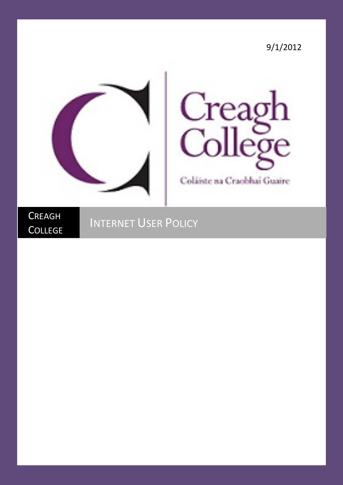9/1/2012





Coláiste na Craobhaí Guaire

**CREAGH COLLEGE** 

## INTERNET USER POLICY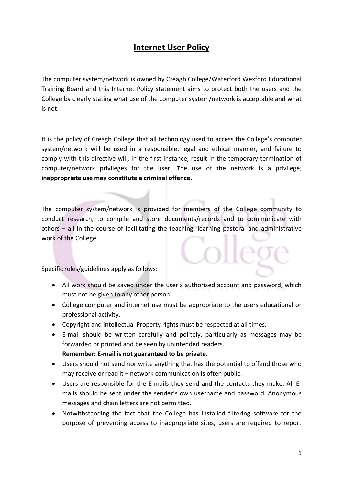## **Internet User Policy**

The computer system/network is owned by Creagh College/Waterford Wexford Educational Training Board and this Internet Policy statement aims to protect both the users and the College by clearly stating what use of the computer system/network is acceptable and what is not.

It is the policy of Creagh College that all technology used to access the College's computer system/network will be used in a responsible, legal and ethical manner, and failure to comply with this directive will, in the first instance, result in the temporary termination of computer/network privileges for the user. The use of the network is a privilege; **inappropriate use may constitute a criminal offence.**

The computer system/network is provided for members of the College community to conduct research, to compile and store documents/records and to communicate with others – all in the course of facilitating the teaching, learning pastoral and administrative work of the College.

Specific rules/guidelines apply as follows:

- All work should be saved under the user's authorised account and password, which must not be given to any other person.
- College computer and internet use must be appropriate to the users educational or professional activity.
- Copyright and Intellectual Property rights must be respected at all times.
- E-mail should be written carefully and politely, particularly as messages may be forwarded or printed and be seen by unintended readers.
	- **Remember: E-mail is not guaranteed to be private.**
- Users should not send nor write anything that has the potential to offend those who may receive or read it – network communication is often public.
- Users are responsible for the E-mails they send and the contacts they make. All Emails should be sent under the sender's own username and password. Anonymous messages and chain letters are not permitted.
- Notwithstanding the fact that the College has installed filtering software for the purpose of preventing access to inappropriate sites, users are required to report